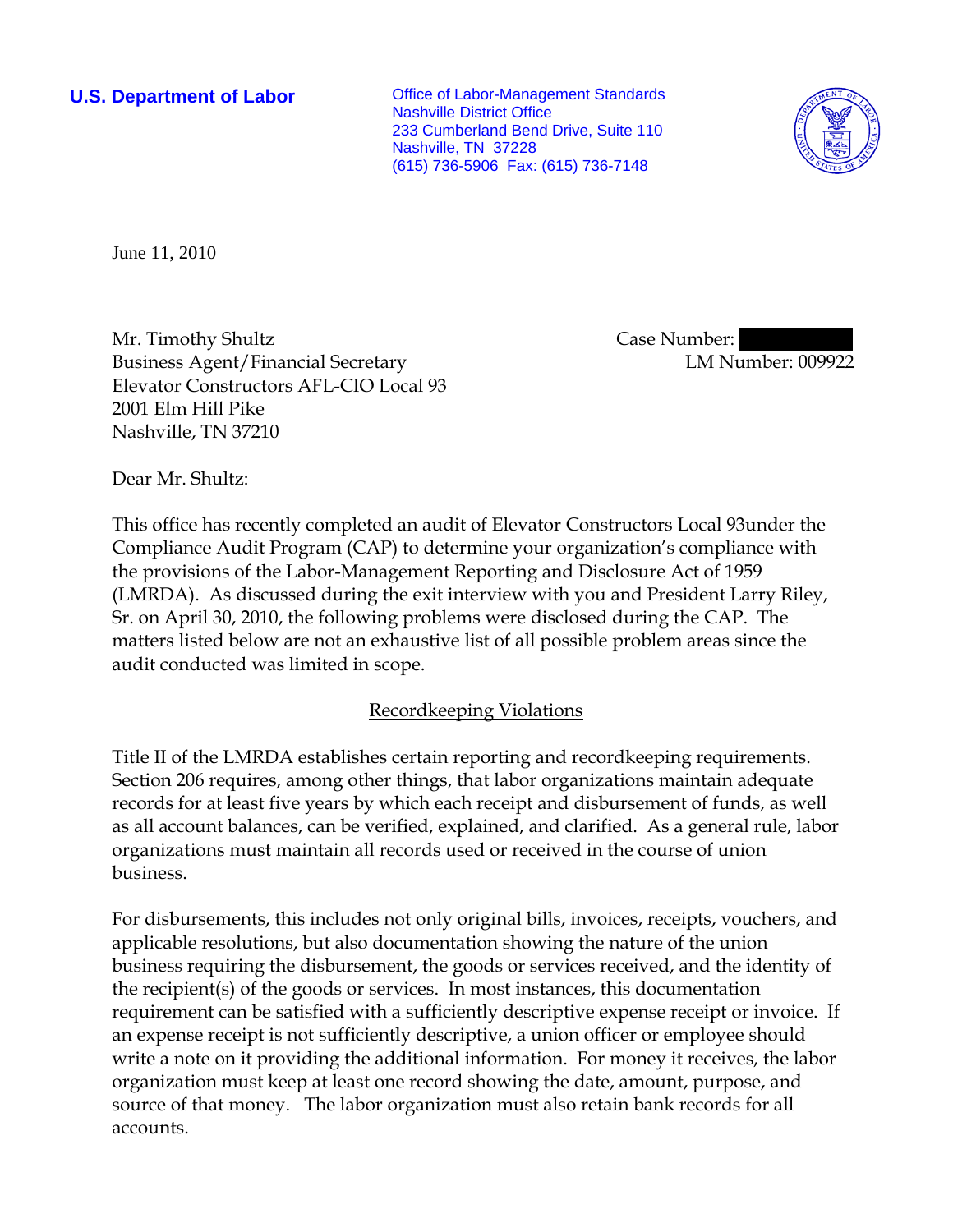**U.S. Department of Labor Conservative Conservative Conservative Conservative Conservative Conservative Conservative Conservative Conservative Conservative Conservative Conservative Conservative Conservative Conservative** Nashville District Office 233 Cumberland Bend Drive, Suite 110 Nashville, TN 37228 (615) 736-5906 Fax: (615) 736-7148



June 11, 2010

Mr. Timothy Shultz Business Agent/Financial Secretary Elevator Constructors AFL-CIO Local 93 2001 Elm Hill Pike Nashville, TN 37210

Case Number:

LM Number: 009922

Dear Mr. Shultz:

This office has recently completed an audit of Elevator Constructors Local 93under the Compliance Audit Program (CAP) to determine your organization's compliance with the provisions of the Labor-Management Reporting and Disclosure Act of 1959 (LMRDA). As discussed during the exit interview with you and President Larry Riley, Sr. on April 30, 2010, the following problems were disclosed during the CAP. The matters listed below are not an exhaustive list of all possible problem areas since the audit conducted was limited in scope.

# Recordkeeping Violations

Title II of the LMRDA establishes certain reporting and recordkeeping requirements. Section 206 requires, among other things, that labor organizations maintain adequate records for at least five years by which each receipt and disbursement of funds, as well as all account balances, can be verified, explained, and clarified. As a general rule, labor organizations must maintain all records used or received in the course of union business.

For disbursements, this includes not only original bills, invoices, receipts, vouchers, and applicable resolutions, but also documentation showing the nature of the union business requiring the disbursement, the goods or services received, and the identity of the recipient(s) of the goods or services. In most instances, this documentation requirement can be satisfied with a sufficiently descriptive expense receipt or invoice. If an expense receipt is not sufficiently descriptive, a union officer or employee should write a note on it providing the additional information. For money it receives, the labor organization must keep at least one record showing the date, amount, purpose, and source of that money. The labor organization must also retain bank records for all accounts.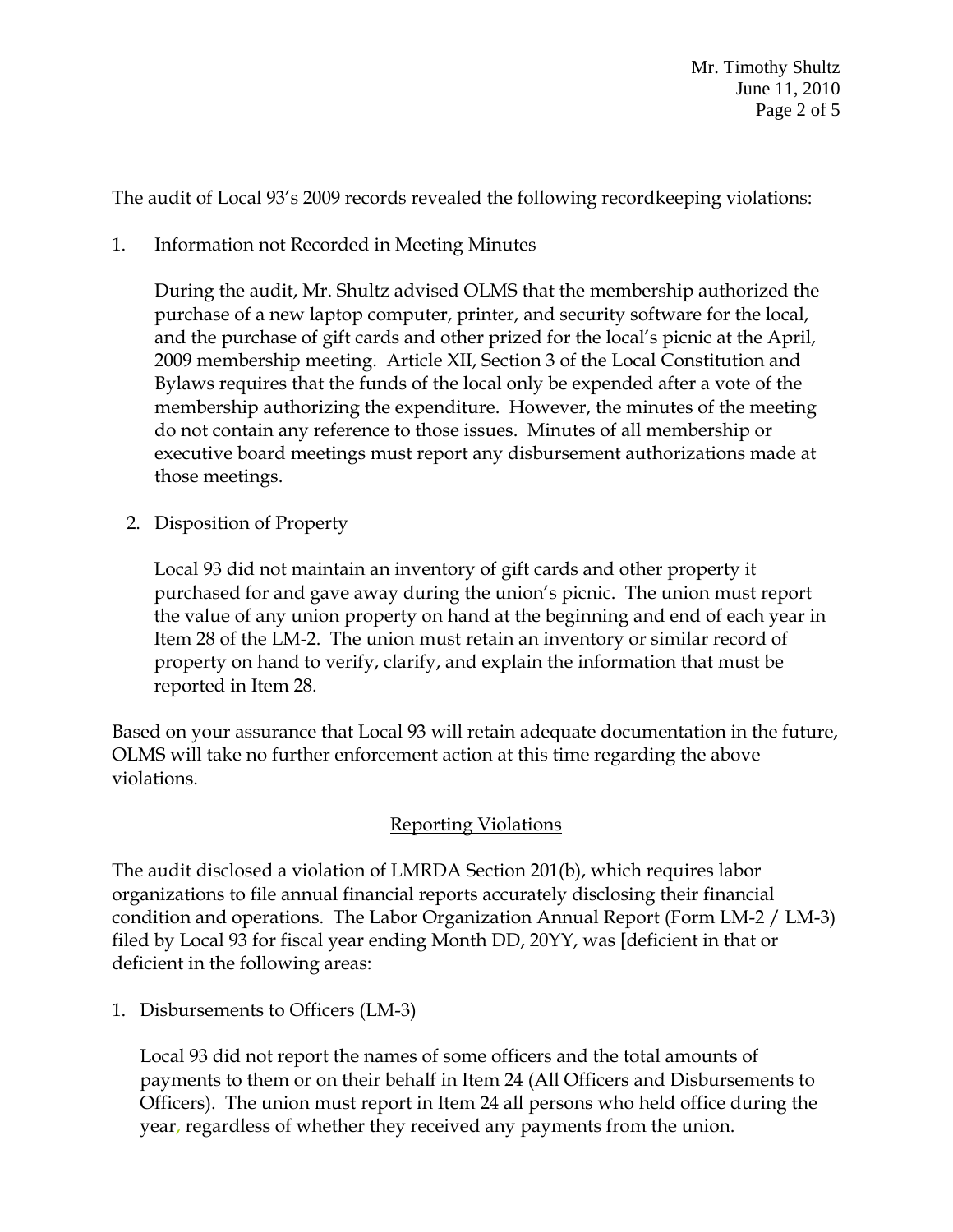The audit of Local 93's 2009 records revealed the following recordkeeping violations:

1. Information not Recorded in Meeting Minutes

During the audit, Mr. Shultz advised OLMS that the membership authorized the purchase of a new laptop computer, printer, and security software for the local, and the purchase of gift cards and other prized for the local's picnic at the April, 2009 membership meeting. Article XII, Section 3 of the Local Constitution and Bylaws requires that the funds of the local only be expended after a vote of the membership authorizing the expenditure. However, the minutes of the meeting do not contain any reference to those issues. Minutes of all membership or executive board meetings must report any disbursement authorizations made at those meetings.

2. Disposition of Property

Local 93 did not maintain an inventory of gift cards and other property it purchased for and gave away during the union's picnic. The union must report the value of any union property on hand at the beginning and end of each year in Item 28 of the LM-2. The union must retain an inventory or similar record of property on hand to verify, clarify, and explain the information that must be reported in Item 28.

Based on your assurance that Local 93 will retain adequate documentation in the future, OLMS will take no further enforcement action at this time regarding the above violations.

# Reporting Violations

The audit disclosed a violation of LMRDA Section 201(b), which requires labor organizations to file annual financial reports accurately disclosing their financial condition and operations. The Labor Organization Annual Report (Form LM-2 / LM-3) filed by Local 93 for fiscal year ending Month DD, 20YY, was [deficient in that or deficient in the following areas:

1. Disbursements to Officers (LM-3)

Local 93 did not report the names of some officers and the total amounts of payments to them or on their behalf in Item 24 (All Officers and Disbursements to Officers). The union must report in Item 24 all persons who held office during the year, regardless of whether they received any payments from the union.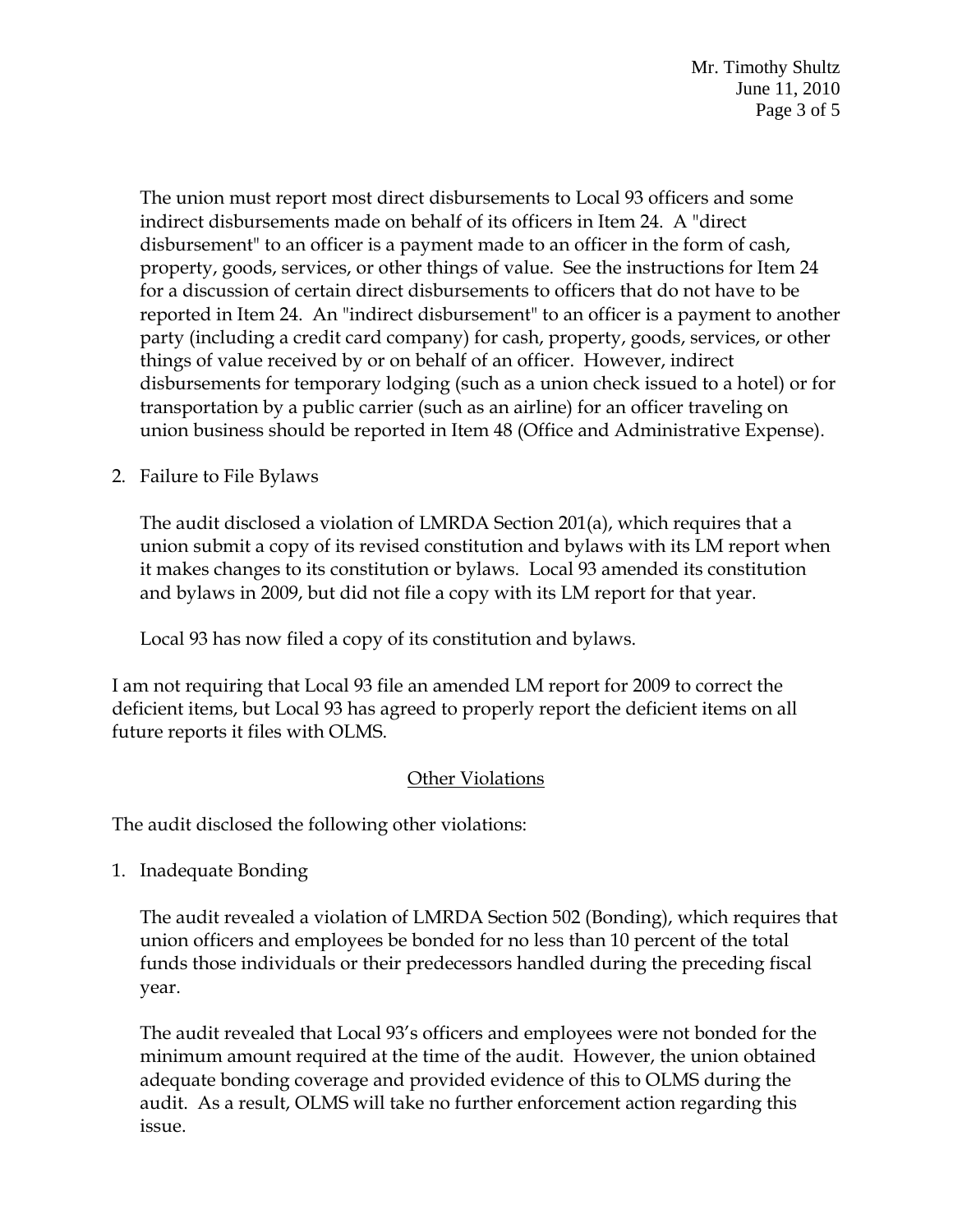Mr. Timothy Shultz June 11, 2010 Page 3 of 5

The union must report most direct disbursements to Local 93 officers and some indirect disbursements made on behalf of its officers in Item 24. A "direct disbursement" to an officer is a payment made to an officer in the form of cash, property, goods, services, or other things of value. See the instructions for Item 24 for a discussion of certain direct disbursements to officers that do not have to be reported in Item 24. An "indirect disbursement" to an officer is a payment to another party (including a credit card company) for cash, property, goods, services, or other things of value received by or on behalf of an officer. However, indirect disbursements for temporary lodging (such as a union check issued to a hotel) or for transportation by a public carrier (such as an airline) for an officer traveling on union business should be reported in Item 48 (Office and Administrative Expense).

2. Failure to File Bylaws

The audit disclosed a violation of LMRDA Section 201(a), which requires that a union submit a copy of its revised constitution and bylaws with its LM report when it makes changes to its constitution or bylaws. Local 93 amended its constitution and bylaws in 2009, but did not file a copy with its LM report for that year.

Local 93 has now filed a copy of its constitution and bylaws.

I am not requiring that Local 93 file an amended LM report for 2009 to correct the deficient items, but Local 93 has agreed to properly report the deficient items on all future reports it files with OLMS.

# Other Violations

The audit disclosed the following other violations:

1. Inadequate Bonding

The audit revealed a violation of LMRDA Section 502 (Bonding), which requires that union officers and employees be bonded for no less than 10 percent of the total funds those individuals or their predecessors handled during the preceding fiscal year.

The audit revealed that Local 93's officers and employees were not bonded for the minimum amount required at the time of the audit. However, the union obtained adequate bonding coverage and provided evidence of this to OLMS during the audit. As a result, OLMS will take no further enforcement action regarding this issue.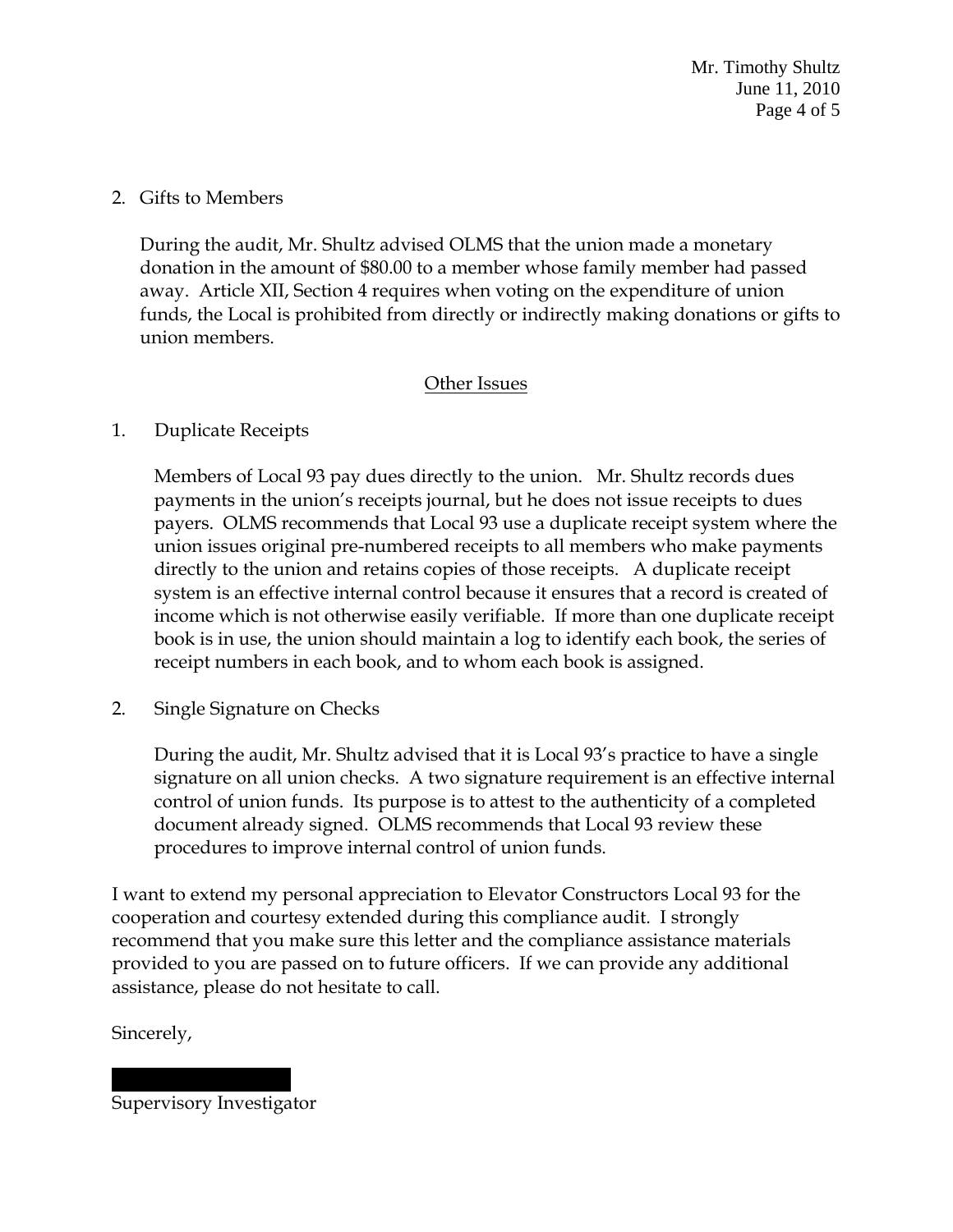Mr. Timothy Shultz June 11, 2010 Page 4 of 5

#### 2. Gifts to Members

During the audit, Mr. Shultz advised OLMS that the union made a monetary donation in the amount of \$80.00 to a member whose family member had passed away. Article XII, Section 4 requires when voting on the expenditure of union funds, the Local is prohibited from directly or indirectly making donations or gifts to union members.

### Other Issues

#### 1. Duplicate Receipts

Members of Local 93 pay dues directly to the union. Mr. Shultz records dues payments in the union's receipts journal, but he does not issue receipts to dues payers. OLMS recommends that Local 93 use a duplicate receipt system where the union issues original pre-numbered receipts to all members who make payments directly to the union and retains copies of those receipts. A duplicate receipt system is an effective internal control because it ensures that a record is created of income which is not otherwise easily verifiable. If more than one duplicate receipt book is in use, the union should maintain a log to identify each book, the series of receipt numbers in each book, and to whom each book is assigned.

2. Single Signature on Checks

During the audit, Mr. Shultz advised that it is Local 93's practice to have a single signature on all union checks. A two signature requirement is an effective internal control of union funds. Its purpose is to attest to the authenticity of a completed document already signed. OLMS recommends that Local 93 review these procedures to improve internal control of union funds.

I want to extend my personal appreciation to Elevator Constructors Local 93 for the cooperation and courtesy extended during this compliance audit. I strongly recommend that you make sure this letter and the compliance assistance materials provided to you are passed on to future officers. If we can provide any additional assistance, please do not hesitate to call.

Sincerely,

|| |||| ||||||||| Supervisory Investigator